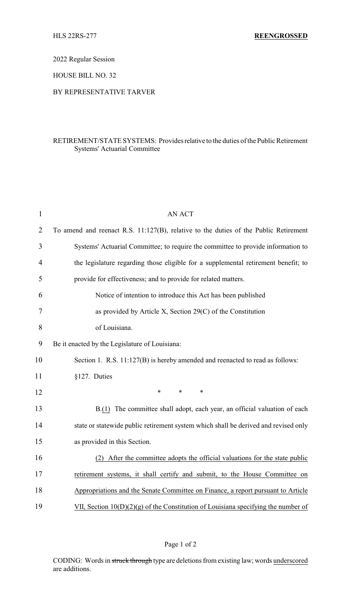2022 Regular Session

HOUSE BILL NO. 32

## BY REPRESENTATIVE TARVER

## RETIREMENT/STATE SYSTEMS: Providesrelative to the duties of the Public Retirement Systems' Actuarial Committee

| $\mathbf{1}$   | <b>AN ACT</b>                                                                        |
|----------------|--------------------------------------------------------------------------------------|
| $\overline{2}$ | To amend and reenact R.S. 11:127(B), relative to the duties of the Public Retirement |
| 3              | Systems' Actuarial Committee; to require the committee to provide information to     |
| 4              | the legislature regarding those eligible for a supplemental retirement benefit; to   |
| 5              | provide for effectiveness; and to provide for related matters.                       |
| 6              | Notice of intention to introduce this Act has been published                         |
| 7              | as provided by Article X, Section 29(C) of the Constitution                          |
| 8              | of Louisiana.                                                                        |
| 9              | Be it enacted by the Legislature of Louisiana:                                       |
| 10             | Section 1. R.S. 11:127(B) is hereby amended and reenacted to read as follows:        |
| 11             | §127. Duties                                                                         |
| 12             | *<br>$\ast$<br>$\ast$                                                                |
| 13             | B.(1) The committee shall adopt, each year, an official valuation of each            |
| 14             | state or statewide public retirement system which shall be derived and revised only  |
| 15             | as provided in this Section.                                                         |
| 16             | (2) After the committee adopts the official valuations for the state public          |
| 17             | retirement systems, it shall certify and submit, to the House Committee on           |
| 18             | Appropriations and the Senate Committee on Finance, a report pursuant to Article     |
| 19             | VII, Section $10(D)(2)(g)$ of the Constitution of Louisiana specifying the number of |